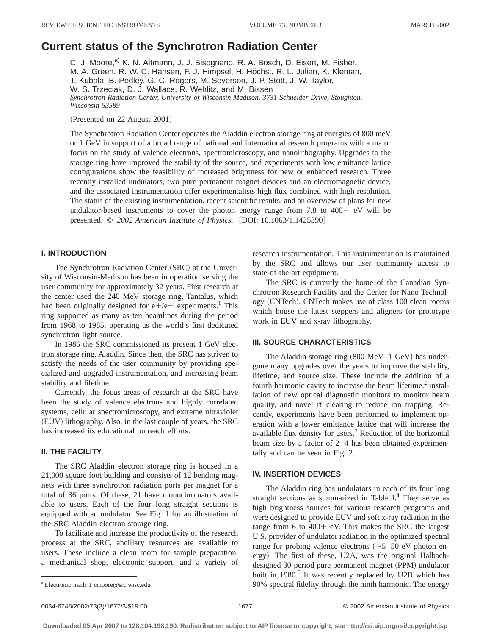# **Current status of the Synchrotron Radiation Center**

C. J. Moore,<sup>a)</sup> K. N. Altmann, J. J. Bisognano, R. A. Bosch, D. Eisert, M. Fisher, M. A. Green, R. W. C. Hansen, F. J. Himpsel, H. Höchst, R. L. Julian, K. Kleman, T. Kubala, B. Pedley, G. C. Rogers, M. Severson, J. P. Stott, J. W. Taylor, W. S. Trzeciak, D. J. Wallace, R. Wehlitz, and M. Bissen *Synchrotron Radiation Center, University of Wisconsin-Madison, 3731 Schneider Drive, Stoughton, Wisconsin 53589*

(Presented on 22 August 2001)

The Synchrotron Radiation Center operates the Aladdin electron storage ring at energies of 800 meV or 1 GeV in support of a broad range of national and international research programs with a major focus on the study of valence electrons, spectromicroscopy, and nanolithography. Upgrades to the storage ring have improved the stability of the source, and experiments with low emittance lattice configurations show the feasibility of increased brightness for new or enhanced research. Three recently installed undulators, two pure permanent magnet devices and an electromagnetic device, and the associated instrumentation offer experimentalists high flux combined with high resolution. The status of the existing instrumentation, recent scientific results, and an overview of plans for new undulator-based instruments to cover the photon energy range from  $7.8$  to  $400 + eV$  will be presented. © 2002 American Institute of Physics. [DOI: 10.1063/1.1425390]

## **I. INTRODUCTION**

The Synchrotron Radiation Center (SRC) at the University of Wisconsin-Madison has been in operation serving the user community for approximately 32 years. First research at the center used the 240 MeV storage ring, Tantalus, which had been originally designed for  $e+/-$  experiments.<sup>1</sup> This ring supported as many as ten beamlines during the period from 1968 to 1985, operating as the world's first dedicated synchrotron light source.

In 1985 the SRC commissioned its present 1 GeV electron storage ring, Aladdin. Since then, the SRC has striven to satisfy the needs of the user community by providing specialized and upgraded instrumentation, and increasing beam stability and lifetime.

Currently, the focus areas of research at the SRC have been the study of valence electrons and highly correlated systems, cellular spectromicroscopy, and extreme ultraviolet (EUV) lithography. Also, in the last couple of years, the SRC has increased its educational outreach efforts.

## **II. THE FACILITY**

The SRC Aladdin electron storage ring is housed in a 21,000 square foot building and consists of 12 bending magnets with three synchrotron radiation ports per magnet for a total of 36 ports. Of these, 21 have monochromators available to users. Each of the four long straight sections is equipped with an undulator. See Fig. 1 for an illustration of the SRC Aladdin electron storage ring.

To facilitate and increase the productivity of the research process at the SRC, ancillary resources are available to users. These include a clean room for sample preparation, a mechanical shop, electronic support, and a variety of research instrumentation. This instrumentation is maintained by the SRC and allows our user community access to state-of-the-art equipment.

The SRC is currently the home of the Canadian Synchrotron Research Facility and the Center for Nano Technology (CNTech). CNTech makes use of class 100 clean rooms which house the latest steppers and aligners for prototype work in EUV and x-ray lithography.

## **III. SOURCE CHARACTERISTICS**

The Aladdin storage ring  $(800 \text{ MeV}-1 \text{ GeV})$  has undergone many upgrades over the years to improve the stability, lifetime, and source size. These include the addition of a fourth harmonic cavity to increase the beam lifetime, $<sup>2</sup>$  instal-</sup> lation of new optical diagnostic monitors to monitor beam quality, and novel rf clearing to reduce ion trapping. Recently, experiments have been performed to implement operation with a lower emittance lattice that will increase the available flux density for users.<sup>3</sup> Reduction of the horizontal beam size by a factor of 2–4 has been obtained experimentally and can be seen in Fig. 2.

## **IV. INSERTION DEVICES**

The Aladdin ring has undulators in each of its four long straight sections as summarized in Table  $I<sup>4</sup>$ . They serve as high brightness sources for various research programs and were designed to provide EUV and soft x-ray radiation in the range from 6 to  $400 + eV$ . This makes the SRC the largest U.S. provider of undulator radiation in the optimized spectral range for probing valence electrons  $({\sim}5{-}50 \text{ eV}$  photon energy). The first of these, U2A, was the original Halbachdesigned 30-period pure permanent magnet (PPM) undulator built in  $1980$ .<sup>5</sup> It was recently replaced by U2B which has 90% spectral fidelity through the ninth harmonic. The energy

Electronic mail: 1 cmoore@src.wisc.edu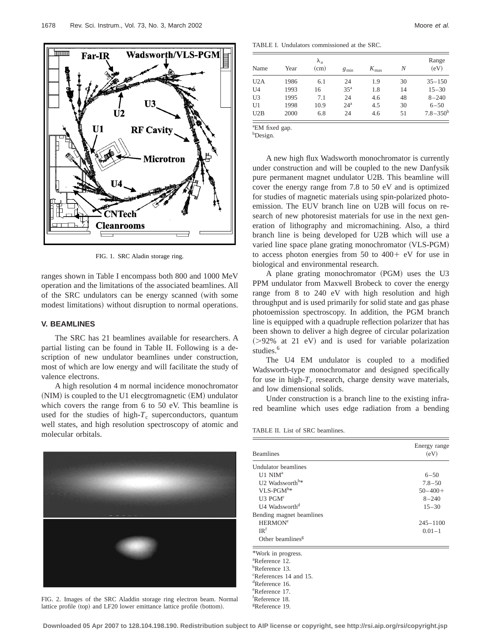

FIG. 1. SRC Aladin storage ring.

ranges shown in Table I encompass both 800 and 1000 MeV operation and the limitations of the associated beamlines. All of the SRC undulators can be energy scanned (with some modest limitations) without disruption to normal operations.

### **V. BEAMLINES**

The SRC has 21 beamlines available for researchers. A partial listing can be found in Table II. Following is a description of new undulator beamlines under construction, most of which are low energy and will facilitate the study of valence electrons.

A high resolution 4 m normal incidence monochromator  $(NIM)$  is coupled to the U1 elecgtromagnetic  $(EM)$  undulator which covers the range from 6 to 50 eV. This beamline is used for the studies of high- $T_c$  superconductors, quantum well states, and high resolution spectroscopy of atomic and molecular orbitals.



FIG. 2. Images of the SRC Aladdin storage ring electron beam. Normal lattice profile (top) and LF20 lower emittance lattice profile (bottom).

TABLE I. Undulators commissioned at the SRC.

| Name           | Year | $\lambda_u$<br>(cm) | $g_{\min}$      | $K_{\text{max}}$ | Ν  | Range<br>(eV) |
|----------------|------|---------------------|-----------------|------------------|----|---------------|
| U2A            | 1986 | 6.1                 | 24              | 1.9              | 30 | $35 - 150$    |
| U <sub>4</sub> | 1993 | 16                  | 35 <sup>a</sup> | 1.8              | 14 | $15 - 30$     |
| U <sub>3</sub> | 1995 | 7.1                 | 24              | 4.6              | 48 | $8 - 240$     |
| U <sub>1</sub> | 1998 | 10.9                | $24^a$          | 4.5              | 30 | $6 - 50$      |
| U2B            | 2000 | 6.8                 | 24              | 4.6              | 51 | $7.8 - 350^b$ |

<sup>a</sup>EM fixed gap.

b Design.

A new high flux Wadsworth monochromator is currently under construction and will be coupled to the new Danfysik pure permanent magnet undulator U2B. This beamline will cover the energy range from 7.8 to 50 eV and is optimized for studies of magnetic materials using spin-polarized photoemission. The EUV branch line on U2B will focus on research of new photoresist materials for use in the next generation of lithography and micromachining. Also, a third branch line is being developed for U2B which will use a varied line space plane grating monochromator (VLS-PGM) to access photon energies from  $50$  to  $400 + eV$  for use in biological and environmental research.

A plane grating monochromator (PGM) uses the U3 PPM undulator from Maxwell Brobeck to cover the energy range from 8 to 240 eV with high resolution and high throughput and is used primarily for solid state and gas phase photoemission spectroscopy. In addition, the PGM branch line is equipped with a quadruple reflection polarizer that has been shown to deliver a high degree of circular polarization  $(>= 92\%$  at 21 eV) and is used for variable polarization studies.<sup>6</sup>

The U4 EM undulator is coupled to a modified Wadsworth-type monochromator and designed specifically for use in high- $T_c$  research, charge density wave materials, and low dimensional solids.

Under construction is a branch line to the existing infrared beamline which uses edge radiation from a bending

TABLE II. List of SRC beamlines.

| <b>Beamlines</b>                   | Energy range<br>(eV) |
|------------------------------------|----------------------|
| Undulator beamlines                |                      |
| U1 NIM <sup>a</sup>                | $6 - 50$             |
| U2 Wadsworth <sup>b*</sup>         | $7.8 - 50$           |
| $VLS-PGM^{b*}$                     | $50 - 400 +$         |
| $U3$ PGM $c$                       | $8 - 240$            |
| U4 Wadsworth <sup>d</sup>          | $15 - 30$            |
| Bending magnet beamlines           |                      |
| <b>HERMON<sup>e</sup></b>          | $245 - 1100$         |
| IR <sup>f</sup>                    | $0.01 - 1$           |
| Other beamlines <sup>g</sup>       |                      |
| *Work in progress.                 |                      |
| <sup>a</sup> Reference 12.         |                      |
| $b$ Reference 13.                  |                      |
| <sup>c</sup> References 14 and 15. |                      |
| <sup>d</sup> Reference 16.         |                      |
| <sup>e</sup> Reference 17.         |                      |
| <sup>†</sup> Reference 18.         |                      |

**Downloaded 05 Apr 2007 to 128.104.198.190. Redistribution subject to AIP license or copyright, see http://rsi.aip.org/rsi/copyright.jsp**

g Reference 19.